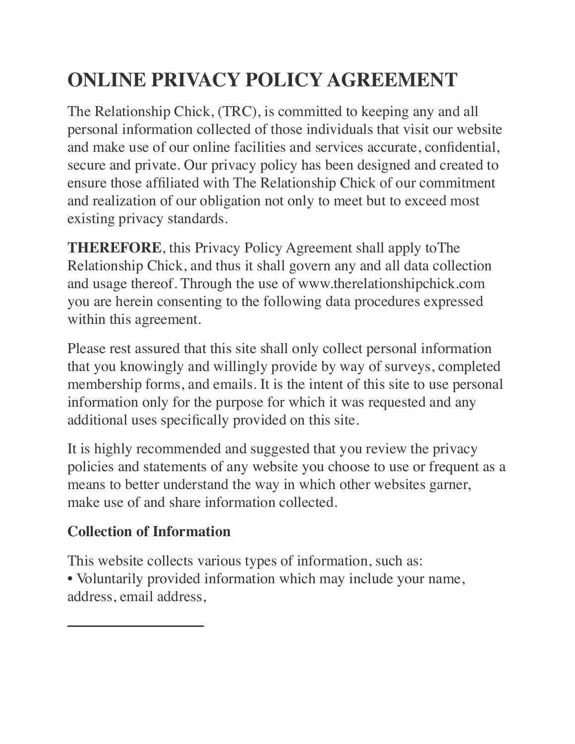# **ONLINE PRIVACY POLICY AGREEMENT**

The Relationship Chick, (TRC), is committed to keeping any and all personal information collected of those individuals that visit our website and make use of our online facilities and services accurate, confidential, secure and private. Our privacy policy has been designed and created to ensure those affiliated with The Relationship Chick of our commitment and realization of our obligation not only to meet but to exceed most existing privacy standards.

**THEREFORE**, this Privacy Policy Agreement shall apply toThe Relationship Chick, and thus it shall govern any and all data collection and usage thereof. Through the use of www.therelationshipchick.com you are herein consenting to the following data procedures expressed within this agreement.

Please rest assured that this site shall only collect personal information that you knowingly and willingly provide by way of surveys, completed membership forms, and emails. It is the intent of this site to use personal information only for the purpose for which it was requested and any additional uses specifically provided on this site.

It is highly recommended and suggested that you review the privacy policies and statements of any website you choose to use or frequent as a means to better understand the way in which other websites garner, make use of and share information collected.

# **Collection of Information**

This website collects various types of information, such as: • Voluntarily provided information which may include your name, address, email address,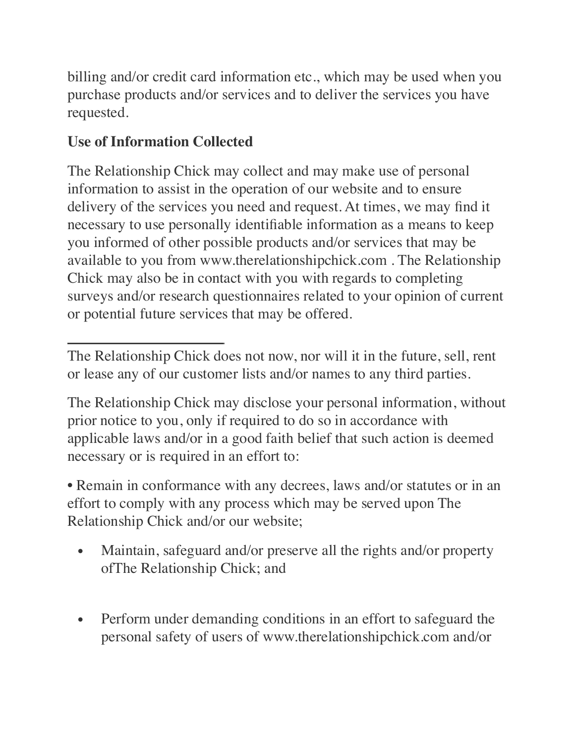billing and/or credit card information etc., which may be used when you purchase products and/or services and to deliver the services you have requested.

# **Use of Information Collected**

The Relationship Chick may collect and may make use of personal information to assist in the operation of our website and to ensure delivery of the services you need and request. At times, we may find it necessary to use personally identifiable information as a means to keep you informed of other possible products and/or services that may be available to you from www.therelationshipchick.com . The Relationship Chick may also be in contact with you with regards to completing surveys and/or research questionnaires related to your opinion of current or potential future services that may be offered.

The Relationship Chick does not now, nor will it in the future, sell, rent or lease any of our customer lists and/or names to any third parties.

The Relationship Chick may disclose your personal information, without prior notice to you, only if required to do so in accordance with applicable laws and/or in a good faith belief that such action is deemed necessary or is required in an effort to:

• Remain in conformance with any decrees, laws and/or statutes or in an effort to comply with any process which may be served upon The Relationship Chick and/or our website;

- Maintain, safeguard and/or preserve all the rights and/or property ofThe Relationship Chick; and
- Perform under demanding conditions in an effort to safeguard the personal safety of users of www.therelationshipchick.com and/or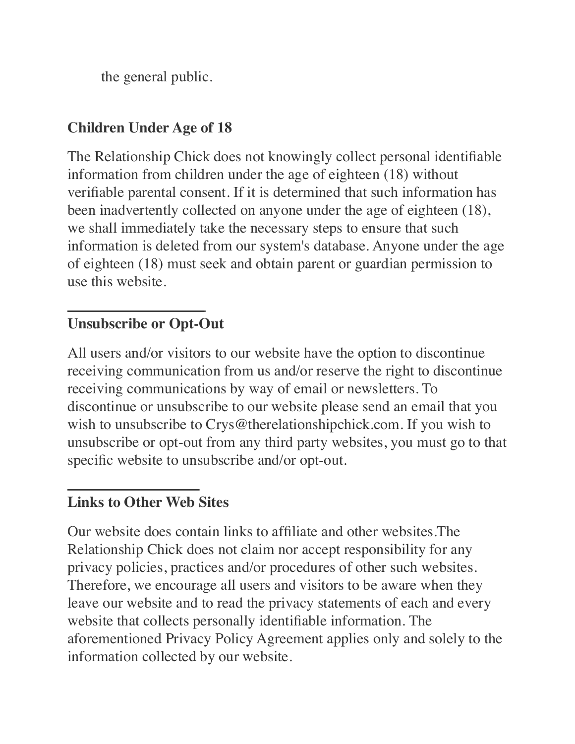the general public.

#### **Children Under Age of 18**

The Relationship Chick does not knowingly collect personal identifiable information from children under the age of eighteen (18) without verifiable parental consent. If it is determined that such information has been inadvertently collected on anyone under the age of eighteen (18), we shall immediately take the necessary steps to ensure that such information is deleted from our system's database. Anyone under the age of eighteen (18) must seek and obtain parent or guardian permission to use this website.

#### **Unsubscribe or Opt-Out**

All users and/or visitors to our website have the option to discontinue receiving communication from us and/or reserve the right to discontinue receiving communications by way of email or newsletters. To discontinue or unsubscribe to our website please send an email that you wish to unsubscribe to Crys@therelationshipchick.com. If you wish to unsubscribe or opt-out from any third party websites, you must go to that specific website to unsubscribe and/or opt-out.

#### **Links to Other Web Sites**

Our website does contain links to affiliate and other websites.The Relationship Chick does not claim nor accept responsibility for any privacy policies, practices and/or procedures of other such websites. Therefore, we encourage all users and visitors to be aware when they leave our website and to read the privacy statements of each and every website that collects personally identifiable information. The aforementioned Privacy Policy Agreement applies only and solely to the information collected by our website.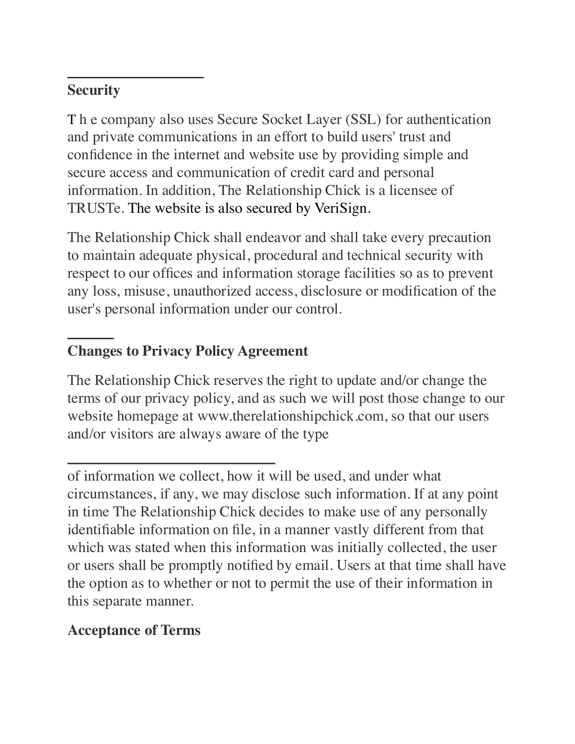## **Security**

T h e company also uses Secure Socket Layer (SSL) for authentication and private communications in an effort to build users' trust and confidence in the internet and website use by providing simple and secure access and communication of credit card and personal information. In addition, The Relationship Chick is a licensee of TRUSTe. The website is also secured by VeriSign.

The Relationship Chick shall endeavor and shall take every precaution to maintain adequate physical, procedural and technical security with respect to our offices and information storage facilities so as to prevent any loss, misuse, unauthorized access, disclosure or modification of the user's personal information under our control.

# **Changes to Privacy Policy Agreement**

The Relationship Chick reserves the right to update and/or change the terms of our privacy policy, and as such we will post those change to our website homepage at www.therelationshipchick.com, so that our users and/or visitors are always aware of the type

#### **Acceptance of Terms**

of information we collect, how it will be used, and under what circumstances, if any, we may disclose such information. If at any point in time The Relationship Chick decides to make use of any personally identifiable information on file, in a manner vastly different from that which was stated when this information was initially collected, the user or users shall be promptly notified by email. Users at that time shall have the option as to whether or not to permit the use of their information in this separate manner.